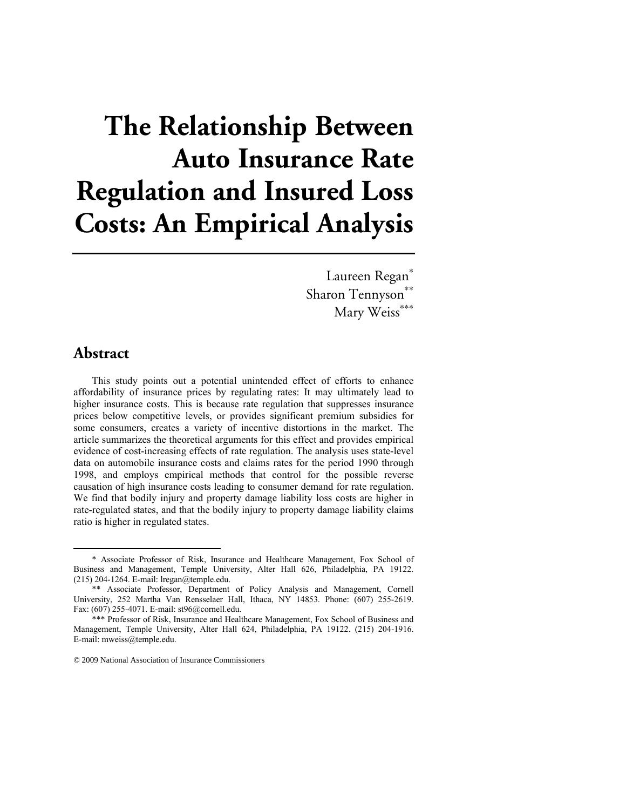# **The Relationship Between Auto Insurance Rate Regulation and Insured Loss Costs: An Empirical Analysis**

Laureen Regan<sup>\*</sup> Sharon Tennyson<sup>\*\*</sup> Mary Weiss<sup>\*\*\*</sup>

## **Abstract**

This study points out a potential unintended effect of efforts to enhance affordability of insurance prices by regulating rates: It may ultimately lead to higher insurance costs. This is because rate regulation that suppresses insurance prices below competitive levels, or provides significant premium subsidies for some consumers, creates a variety of incentive distortions in the market. The article summarizes the theoretical arguments for this effect and provides empirical evidence of cost-increasing effects of rate regulation. The analysis uses state-level data on automobile insurance costs and claims rates for the period 1990 through 1998, and employs empirical methods that control for the possible reverse causation of high insurance costs leading to consumer demand for rate regulation. We find that bodily injury and property damage liability loss costs are higher in rate-regulated states, and that the bodily injury to property damage liability claims ratio is higher in regulated states.

 <sup>\*</sup> Associate Professor of Risk, Insurance and Healthcare Management, Fox School of Business and Management, Temple University, Alter Hall 626, Philadelphia, PA 19122. (215) 204-1264. E-mail: lregan@temple.edu.

<sup>\*\*</sup> Associate Professor, Department of Policy Analysis and Management, Cornell University, 252 Martha Van Rensselaer Hall, Ithaca, NY 14853. Phone: (607) 255-2619. Fax: (607) 255-4071. E-mail: st96@cornell.edu.

<sup>\*\*\*</sup> Professor of Risk, Insurance and Healthcare Management, Fox School of Business and Management, Temple University, Alter Hall 624, Philadelphia, PA 19122. (215) 204-1916. E-mail: mweiss@temple.edu.

<sup>© 2009</sup> National Association of Insurance Commissioners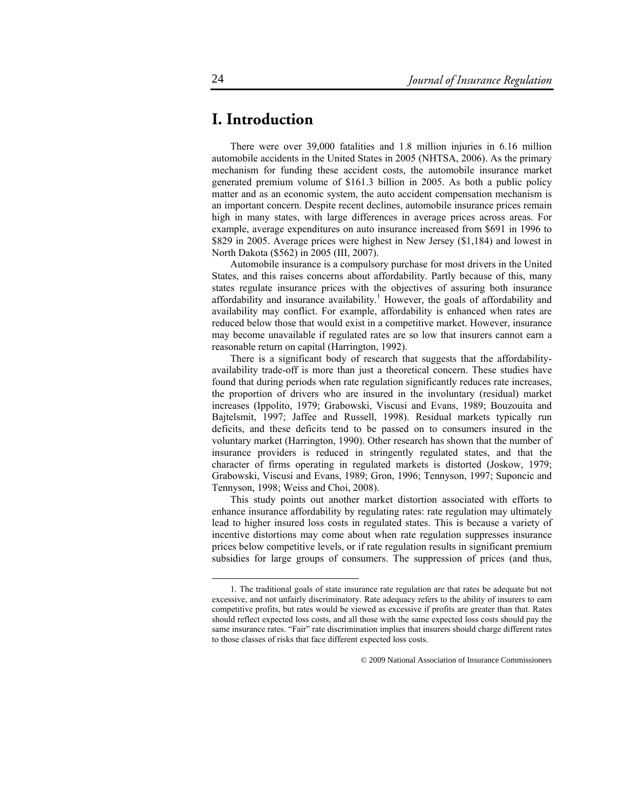# **I. Introduction**

There were over 39,000 fatalities and 1.8 million injuries in 6.16 million automobile accidents in the United States in 2005 (NHTSA, 2006). As the primary mechanism for funding these accident costs, the automobile insurance market generated premium volume of \$161.3 billion in 2005. As both a public policy matter and as an economic system, the auto accident compensation mechanism is an important concern. Despite recent declines, automobile insurance prices remain high in many states, with large differences in average prices across areas. For example, average expenditures on auto insurance increased from \$691 in 1996 to \$829 in 2005. Average prices were highest in New Jersey (\$1,184) and lowest in North Dakota (\$562) in 2005 (III, 2007).

Automobile insurance is a compulsory purchase for most drivers in the United States, and this raises concerns about affordability. Partly because of this, many states regulate insurance prices with the objectives of assuring both insurance affordability and insurance availability.<sup>1</sup> However, the goals of affordability and availability may conflict. For example, affordability is enhanced when rates are reduced below those that would exist in a competitive market. However, insurance may become unavailable if regulated rates are so low that insurers cannot earn a reasonable return on capital (Harrington, 1992).

There is a significant body of research that suggests that the affordabilityavailability trade-off is more than just a theoretical concern. These studies have found that during periods when rate regulation significantly reduces rate increases, the proportion of drivers who are insured in the involuntary (residual) market increases (Ippolito, 1979; Grabowski, Viscusi and Evans, 1989; Bouzouita and Bajtelsmit, 1997; Jaffee and Russell, 1998). Residual markets typically run deficits, and these deficits tend to be passed on to consumers insured in the voluntary market (Harrington, 1990). Other research has shown that the number of insurance providers is reduced in stringently regulated states, and that the character of firms operating in regulated markets is distorted (Joskow, 1979; Grabowski, Viscusi and Evans, 1989; Gron, 1996; Tennyson, 1997; Suponcic and Tennyson, 1998; Weiss and Choi, 2008).

This study points out another market distortion associated with efforts to enhance insurance affordability by regulating rates: rate regulation may ultimately lead to higher insured loss costs in regulated states. This is because a variety of incentive distortions may come about when rate regulation suppresses insurance prices below competitive levels, or if rate regulation results in significant premium subsidies for large groups of consumers. The suppression of prices (and thus,

 <sup>1.</sup> The traditional goals of state insurance rate regulation are that rates be adequate but not excessive, and not unfairly discriminatory. Rate adequacy refers to the ability of insurers to earn competitive profits, but rates would be viewed as excessive if profits are greater than that. Rates should reflect expected loss costs, and all those with the same expected loss costs should pay the same insurance rates. "Fair" rate discrimination implies that insurers should charge different rates to those classes of risks that face different expected loss costs.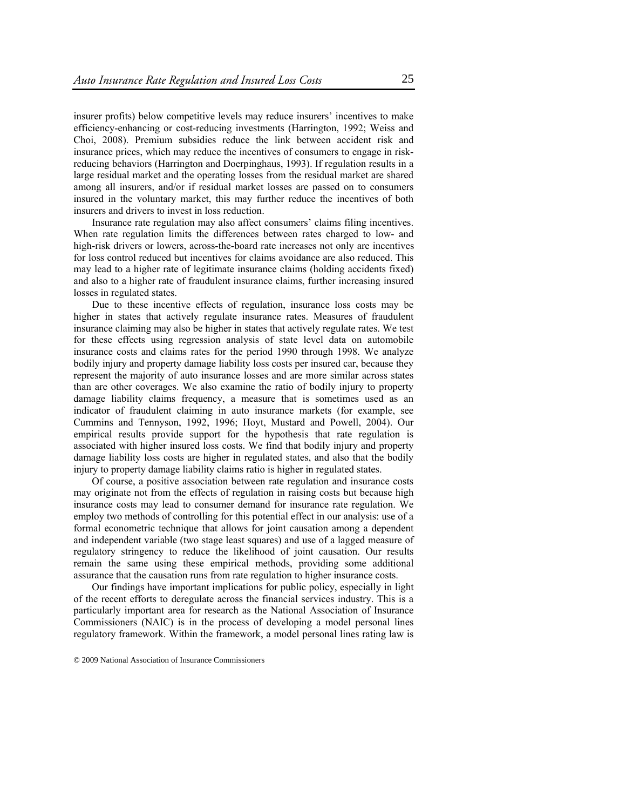insurer profits) below competitive levels may reduce insurers' incentives to make efficiency-enhancing or cost-reducing investments (Harrington, 1992; Weiss and Choi, 2008). Premium subsidies reduce the link between accident risk and insurance prices, which may reduce the incentives of consumers to engage in riskreducing behaviors (Harrington and Doerpinghaus, 1993). If regulation results in a large residual market and the operating losses from the residual market are shared among all insurers, and/or if residual market losses are passed on to consumers insured in the voluntary market, this may further reduce the incentives of both insurers and drivers to invest in loss reduction.

Insurance rate regulation may also affect consumers' claims filing incentives. When rate regulation limits the differences between rates charged to low- and high-risk drivers or lowers, across-the-board rate increases not only are incentives for loss control reduced but incentives for claims avoidance are also reduced. This may lead to a higher rate of legitimate insurance claims (holding accidents fixed) and also to a higher rate of fraudulent insurance claims, further increasing insured losses in regulated states.

Due to these incentive effects of regulation, insurance loss costs may be higher in states that actively regulate insurance rates. Measures of fraudulent insurance claiming may also be higher in states that actively regulate rates. We test for these effects using regression analysis of state level data on automobile insurance costs and claims rates for the period 1990 through 1998. We analyze bodily injury and property damage liability loss costs per insured car, because they represent the majority of auto insurance losses and are more similar across states than are other coverages. We also examine the ratio of bodily injury to property damage liability claims frequency, a measure that is sometimes used as an indicator of fraudulent claiming in auto insurance markets (for example, see Cummins and Tennyson, 1992, 1996; Hoyt, Mustard and Powell, 2004). Our empirical results provide support for the hypothesis that rate regulation is associated with higher insured loss costs. We find that bodily injury and property damage liability loss costs are higher in regulated states, and also that the bodily injury to property damage liability claims ratio is higher in regulated states.

Of course, a positive association between rate regulation and insurance costs may originate not from the effects of regulation in raising costs but because high insurance costs may lead to consumer demand for insurance rate regulation. We employ two methods of controlling for this potential effect in our analysis: use of a formal econometric technique that allows for joint causation among a dependent and independent variable (two stage least squares) and use of a lagged measure of regulatory stringency to reduce the likelihood of joint causation. Our results remain the same using these empirical methods, providing some additional assurance that the causation runs from rate regulation to higher insurance costs.

Our findings have important implications for public policy, especially in light of the recent efforts to deregulate across the financial services industry. This is a particularly important area for research as the National Association of Insurance Commissioners (NAIC) is in the process of developing a model personal lines regulatory framework. Within the framework, a model personal lines rating law is

<sup>© 2009</sup> National Association of Insurance Commissioners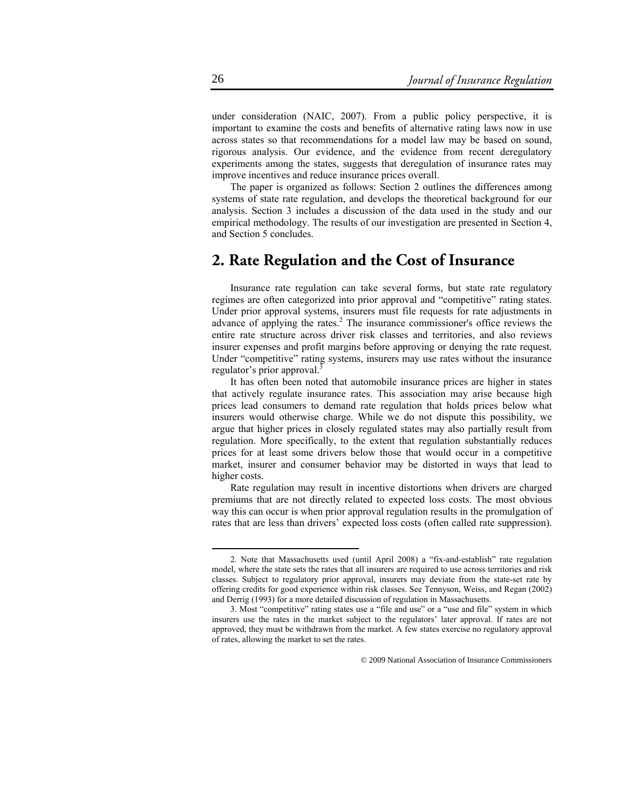under consideration (NAIC, 2007). From a public policy perspective, it is important to examine the costs and benefits of alternative rating laws now in use across states so that recommendations for a model law may be based on sound, rigorous analysis. Our evidence, and the evidence from recent deregulatory experiments among the states, suggests that deregulation of insurance rates may improve incentives and reduce insurance prices overall.

The paper is organized as follows: Section 2 outlines the differences among systems of state rate regulation, and develops the theoretical background for our analysis. Section 3 includes a discussion of the data used in the study and our empirical methodology. The results of our investigation are presented in Section 4, and Section 5 concludes.

## **2. Rate Regulation and the Cost of Insurance**

Insurance rate regulation can take several forms, but state rate regulatory regimes are often categorized into prior approval and "competitive" rating states. Under prior approval systems, insurers must file requests for rate adjustments in advance of applying the rates. $2$  The insurance commissioner's office reviews the entire rate structure across driver risk classes and territories, and also reviews insurer expenses and profit margins before approving or denying the rate request. Under "competitive" rating systems, insurers may use rates without the insurance regulator's prior approval.<sup>3</sup>

It has often been noted that automobile insurance prices are higher in states that actively regulate insurance rates. This association may arise because high prices lead consumers to demand rate regulation that holds prices below what insurers would otherwise charge. While we do not dispute this possibility, we argue that higher prices in closely regulated states may also partially result from regulation. More specifically, to the extent that regulation substantially reduces prices for at least some drivers below those that would occur in a competitive market, insurer and consumer behavior may be distorted in ways that lead to higher costs.

Rate regulation may result in incentive distortions when drivers are charged premiums that are not directly related to expected loss costs. The most obvious way this can occur is when prior approval regulation results in the promulgation of rates that are less than drivers' expected loss costs (often called rate suppression).

 <sup>2.</sup> Note that Massachusetts used (until April 2008) a "fix-and-establish" rate regulation model, where the state sets the rates that all insurers are required to use across territories and risk classes. Subject to regulatory prior approval, insurers may deviate from the state-set rate by offering credits for good experience within risk classes. See Tennyson, Weiss, and Regan (2002) and Derrig (1993) for a more detailed discussion of regulation in Massachusetts.

<sup>3.</sup> Most "competitive" rating states use a "file and use" or a "use and file" system in which insurers use the rates in the market subject to the regulators' later approval. If rates are not approved, they must be withdrawn from the market. A few states exercise no regulatory approval of rates, allowing the market to set the rates.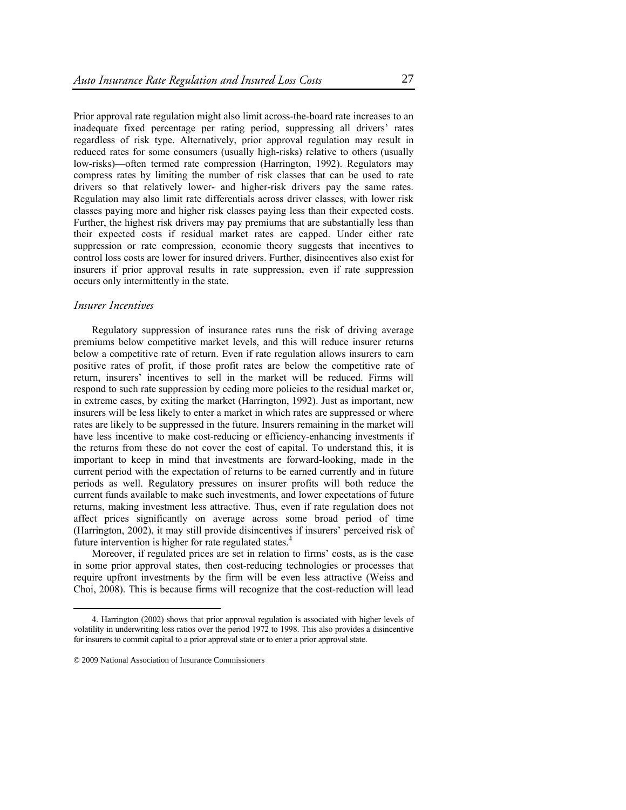Prior approval rate regulation might also limit across-the-board rate increases to an inadequate fixed percentage per rating period, suppressing all drivers' rates regardless of risk type. Alternatively, prior approval regulation may result in reduced rates for some consumers (usually high-risks) relative to others (usually low-risks)—often termed rate compression (Harrington, 1992). Regulators may compress rates by limiting the number of risk classes that can be used to rate drivers so that relatively lower- and higher-risk drivers pay the same rates. Regulation may also limit rate differentials across driver classes, with lower risk classes paying more and higher risk classes paying less than their expected costs. Further, the highest risk drivers may pay premiums that are substantially less than their expected costs if residual market rates are capped. Under either rate suppression or rate compression, economic theory suggests that incentives to control loss costs are lower for insured drivers. Further, disincentives also exist for insurers if prior approval results in rate suppression, even if rate suppression occurs only intermittently in the state.

#### *Insurer Incentives*

Regulatory suppression of insurance rates runs the risk of driving average premiums below competitive market levels, and this will reduce insurer returns below a competitive rate of return. Even if rate regulation allows insurers to earn positive rates of profit, if those profit rates are below the competitive rate of return, insurers' incentives to sell in the market will be reduced. Firms will respond to such rate suppression by ceding more policies to the residual market or, in extreme cases, by exiting the market (Harrington, 1992). Just as important, new insurers will be less likely to enter a market in which rates are suppressed or where rates are likely to be suppressed in the future. Insurers remaining in the market will have less incentive to make cost-reducing or efficiency-enhancing investments if the returns from these do not cover the cost of capital. To understand this, it is important to keep in mind that investments are forward-looking, made in the current period with the expectation of returns to be earned currently and in future periods as well. Regulatory pressures on insurer profits will both reduce the current funds available to make such investments, and lower expectations of future returns, making investment less attractive. Thus, even if rate regulation does not affect prices significantly on average across some broad period of time (Harrington, 2002), it may still provide disincentives if insurers' perceived risk of future intervention is higher for rate regulated states.<sup>4</sup>

Moreover, if regulated prices are set in relation to firms' costs, as is the case in some prior approval states, then cost-reducing technologies or processes that require upfront investments by the firm will be even less attractive (Weiss and Choi, 2008). This is because firms will recognize that the cost-reduction will lead

 <sup>4.</sup> Harrington (2002) shows that prior approval regulation is associated with higher levels of volatility in underwriting loss ratios over the period 1972 to 1998. This also provides a disincentive for insurers to commit capital to a prior approval state or to enter a prior approval state.

<sup>© 2009</sup> National Association of Insurance Commissioners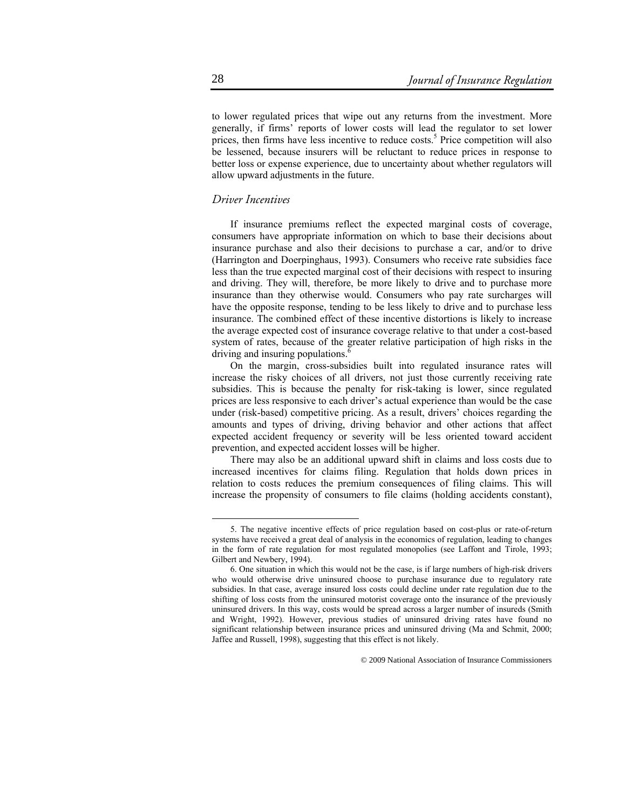to lower regulated prices that wipe out any returns from the investment. More generally, if firms' reports of lower costs will lead the regulator to set lower prices, then firms have less incentive to reduce costs.<sup>5</sup> Price competition will also be lessened, because insurers will be reluctant to reduce prices in response to better loss or expense experience, due to uncertainty about whether regulators will allow upward adjustments in the future.

## *Driver Incentives*

If insurance premiums reflect the expected marginal costs of coverage, consumers have appropriate information on which to base their decisions about insurance purchase and also their decisions to purchase a car, and/or to drive (Harrington and Doerpinghaus, 1993). Consumers who receive rate subsidies face less than the true expected marginal cost of their decisions with respect to insuring and driving. They will, therefore, be more likely to drive and to purchase more insurance than they otherwise would. Consumers who pay rate surcharges will have the opposite response, tending to be less likely to drive and to purchase less insurance. The combined effect of these incentive distortions is likely to increase the average expected cost of insurance coverage relative to that under a cost-based system of rates, because of the greater relative participation of high risks in the driving and insuring populations.<sup>6</sup>

On the margin, cross-subsidies built into regulated insurance rates will increase the risky choices of all drivers, not just those currently receiving rate subsidies. This is because the penalty for risk-taking is lower, since regulated prices are less responsive to each driver's actual experience than would be the case under (risk-based) competitive pricing. As a result, drivers' choices regarding the amounts and types of driving, driving behavior and other actions that affect expected accident frequency or severity will be less oriented toward accident prevention, and expected accident losses will be higher.

There may also be an additional upward shift in claims and loss costs due to increased incentives for claims filing. Regulation that holds down prices in relation to costs reduces the premium consequences of filing claims. This will increase the propensity of consumers to file claims (holding accidents constant),

 <sup>5.</sup> The negative incentive effects of price regulation based on cost-plus or rate-of-return systems have received a great deal of analysis in the economics of regulation, leading to changes in the form of rate regulation for most regulated monopolies (see Laffont and Tirole, 1993; Gilbert and Newbery, 1994).

<sup>6.</sup> One situation in which this would not be the case, is if large numbers of high-risk drivers who would otherwise drive uninsured choose to purchase insurance due to regulatory rate subsidies. In that case, average insured loss costs could decline under rate regulation due to the shifting of loss costs from the uninsured motorist coverage onto the insurance of the previously uninsured drivers. In this way, costs would be spread across a larger number of insureds (Smith and Wright, 1992). However, previous studies of uninsured driving rates have found no significant relationship between insurance prices and uninsured driving (Ma and Schmit, 2000; Jaffee and Russell, 1998), suggesting that this effect is not likely.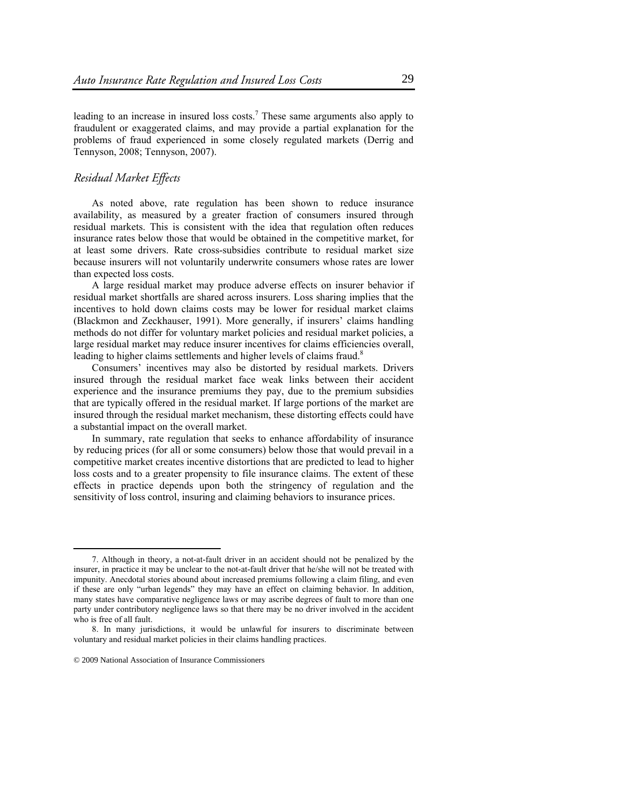leading to an increase in insured loss costs.<sup>7</sup> These same arguments also apply to fraudulent or exaggerated claims, and may provide a partial explanation for the problems of fraud experienced in some closely regulated markets (Derrig and Tennyson, 2008; Tennyson, 2007).

### *Residual Market Effects*

As noted above, rate regulation has been shown to reduce insurance availability, as measured by a greater fraction of consumers insured through residual markets. This is consistent with the idea that regulation often reduces insurance rates below those that would be obtained in the competitive market, for at least some drivers. Rate cross-subsidies contribute to residual market size because insurers will not voluntarily underwrite consumers whose rates are lower than expected loss costs.

A large residual market may produce adverse effects on insurer behavior if residual market shortfalls are shared across insurers. Loss sharing implies that the incentives to hold down claims costs may be lower for residual market claims (Blackmon and Zeckhauser, 1991). More generally, if insurers' claims handling methods do not differ for voluntary market policies and residual market policies, a large residual market may reduce insurer incentives for claims efficiencies overall, leading to higher claims settlements and higher levels of claims fraud.<sup>8</sup>

Consumers' incentives may also be distorted by residual markets. Drivers insured through the residual market face weak links between their accident experience and the insurance premiums they pay, due to the premium subsidies that are typically offered in the residual market. If large portions of the market are insured through the residual market mechanism, these distorting effects could have a substantial impact on the overall market.

In summary, rate regulation that seeks to enhance affordability of insurance by reducing prices (for all or some consumers) below those that would prevail in a competitive market creates incentive distortions that are predicted to lead to higher loss costs and to a greater propensity to file insurance claims. The extent of these effects in practice depends upon both the stringency of regulation and the sensitivity of loss control, insuring and claiming behaviors to insurance prices.

 <sup>7.</sup> Although in theory, a not-at-fault driver in an accident should not be penalized by the insurer, in practice it may be unclear to the not-at-fault driver that he/she will not be treated with impunity. Anecdotal stories abound about increased premiums following a claim filing, and even if these are only "urban legends" they may have an effect on claiming behavior. In addition, many states have comparative negligence laws or may ascribe degrees of fault to more than one party under contributory negligence laws so that there may be no driver involved in the accident who is free of all fault.

<sup>8.</sup> In many jurisdictions, it would be unlawful for insurers to discriminate between voluntary and residual market policies in their claims handling practices.

<sup>© 2009</sup> National Association of Insurance Commissioners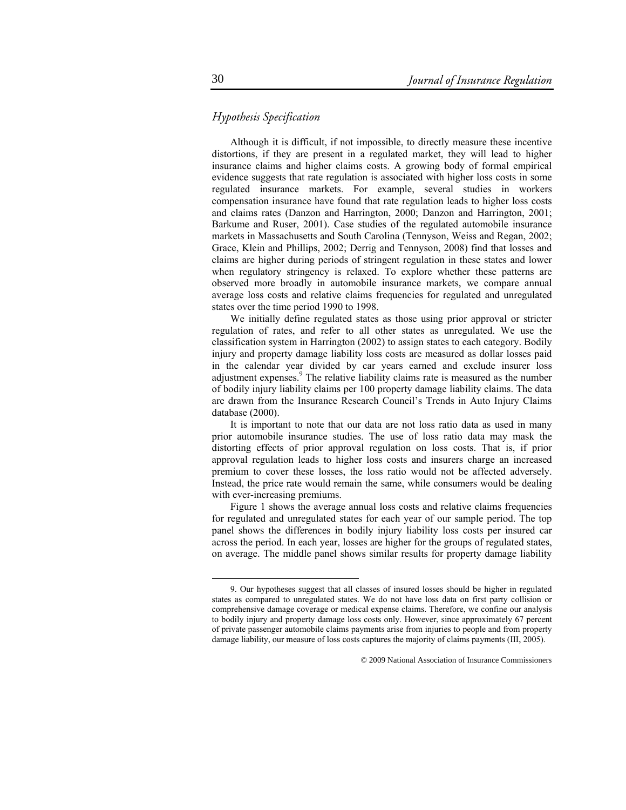## *Hypothesis Specification*

Although it is difficult, if not impossible, to directly measure these incentive distortions, if they are present in a regulated market, they will lead to higher insurance claims and higher claims costs. A growing body of formal empirical evidence suggests that rate regulation is associated with higher loss costs in some regulated insurance markets. For example, several studies in workers compensation insurance have found that rate regulation leads to higher loss costs and claims rates (Danzon and Harrington, 2000; Danzon and Harrington, 2001; Barkume and Ruser, 2001). Case studies of the regulated automobile insurance markets in Massachusetts and South Carolina (Tennyson, Weiss and Regan, 2002; Grace, Klein and Phillips, 2002; Derrig and Tennyson, 2008) find that losses and claims are higher during periods of stringent regulation in these states and lower when regulatory stringency is relaxed. To explore whether these patterns are observed more broadly in automobile insurance markets, we compare annual average loss costs and relative claims frequencies for regulated and unregulated states over the time period 1990 to 1998.

We initially define regulated states as those using prior approval or stricter regulation of rates, and refer to all other states as unregulated. We use the classification system in Harrington (2002) to assign states to each category. Bodily injury and property damage liability loss costs are measured as dollar losses paid in the calendar year divided by car years earned and exclude insurer loss adjustment expenses.<sup>9</sup> The relative liability claims rate is measured as the number of bodily injury liability claims per 100 property damage liability claims. The data are drawn from the Insurance Research Council's Trends in Auto Injury Claims database (2000).

It is important to note that our data are not loss ratio data as used in many prior automobile insurance studies. The use of loss ratio data may mask the distorting effects of prior approval regulation on loss costs. That is, if prior approval regulation leads to higher loss costs and insurers charge an increased premium to cover these losses, the loss ratio would not be affected adversely. Instead, the price rate would remain the same, while consumers would be dealing with ever-increasing premiums.

Figure 1 shows the average annual loss costs and relative claims frequencies for regulated and unregulated states for each year of our sample period. The top panel shows the differences in bodily injury liability loss costs per insured car across the period. In each year, losses are higher for the groups of regulated states, on average. The middle panel shows similar results for property damage liability

 <sup>9.</sup> Our hypotheses suggest that all classes of insured losses should be higher in regulated states as compared to unregulated states. We do not have loss data on first party collision or comprehensive damage coverage or medical expense claims. Therefore, we confine our analysis to bodily injury and property damage loss costs only. However, since approximately 67 percent of private passenger automobile claims payments arise from injuries to people and from property damage liability, our measure of loss costs captures the majority of claims payments (III, 2005).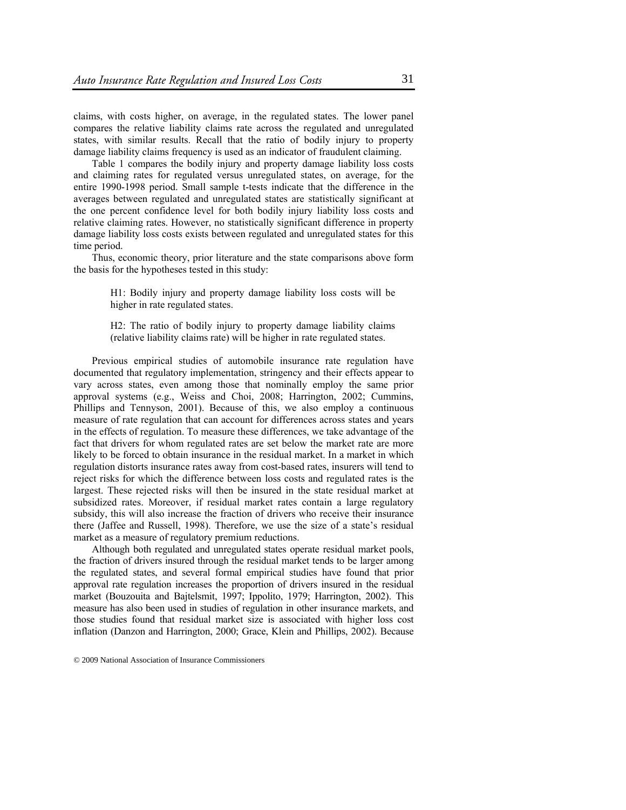claims, with costs higher, on average, in the regulated states. The lower panel compares the relative liability claims rate across the regulated and unregulated states, with similar results. Recall that the ratio of bodily injury to property damage liability claims frequency is used as an indicator of fraudulent claiming.

Table 1 compares the bodily injury and property damage liability loss costs and claiming rates for regulated versus unregulated states, on average, for the entire 1990-1998 period. Small sample t-tests indicate that the difference in the averages between regulated and unregulated states are statistically significant at the one percent confidence level for both bodily injury liability loss costs and relative claiming rates. However, no statistically significant difference in property damage liability loss costs exists between regulated and unregulated states for this time period.

Thus, economic theory, prior literature and the state comparisons above form the basis for the hypotheses tested in this study:

> H1: Bodily injury and property damage liability loss costs will be higher in rate regulated states.

> H2: The ratio of bodily injury to property damage liability claims (relative liability claims rate) will be higher in rate regulated states.

Previous empirical studies of automobile insurance rate regulation have documented that regulatory implementation, stringency and their effects appear to vary across states, even among those that nominally employ the same prior approval systems (e.g., Weiss and Choi, 2008; Harrington, 2002; Cummins, Phillips and Tennyson, 2001). Because of this, we also employ a continuous measure of rate regulation that can account for differences across states and years in the effects of regulation. To measure these differences, we take advantage of the fact that drivers for whom regulated rates are set below the market rate are more likely to be forced to obtain insurance in the residual market. In a market in which regulation distorts insurance rates away from cost-based rates, insurers will tend to reject risks for which the difference between loss costs and regulated rates is the largest. These rejected risks will then be insured in the state residual market at subsidized rates. Moreover, if residual market rates contain a large regulatory subsidy, this will also increase the fraction of drivers who receive their insurance there (Jaffee and Russell, 1998). Therefore, we use the size of a state's residual market as a measure of regulatory premium reductions.

Although both regulated and unregulated states operate residual market pools, the fraction of drivers insured through the residual market tends to be larger among the regulated states, and several formal empirical studies have found that prior approval rate regulation increases the proportion of drivers insured in the residual market (Bouzouita and Bajtelsmit, 1997; Ippolito, 1979; Harrington, 2002). This measure has also been used in studies of regulation in other insurance markets, and those studies found that residual market size is associated with higher loss cost inflation (Danzon and Harrington, 2000; Grace, Klein and Phillips, 2002). Because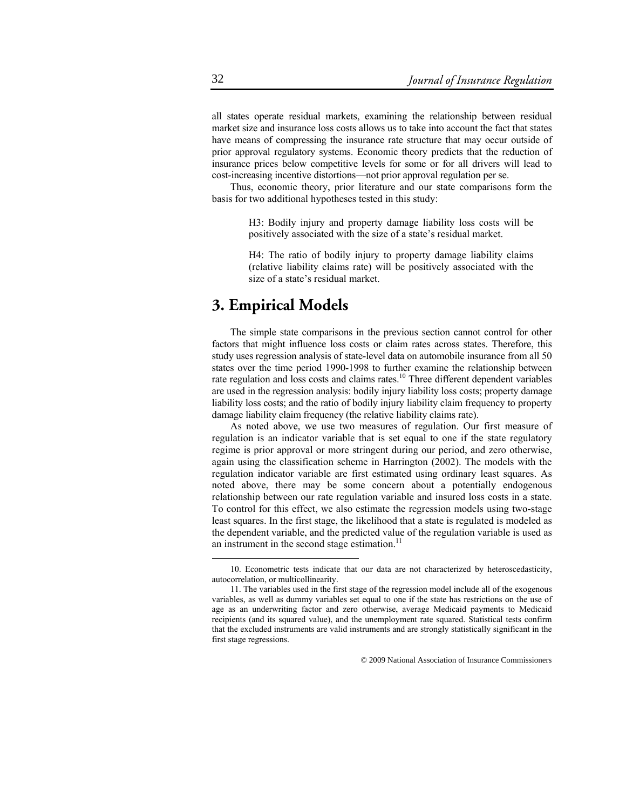all states operate residual markets, examining the relationship between residual market size and insurance loss costs allows us to take into account the fact that states have means of compressing the insurance rate structure that may occur outside of prior approval regulatory systems. Economic theory predicts that the reduction of insurance prices below competitive levels for some or for all drivers will lead to cost-increasing incentive distortions—not prior approval regulation per se.

Thus, economic theory, prior literature and our state comparisons form the basis for two additional hypotheses tested in this study:

> H3: Bodily injury and property damage liability loss costs will be positively associated with the size of a state's residual market.

> H4: The ratio of bodily injury to property damage liability claims (relative liability claims rate) will be positively associated with the size of a state's residual market.

## **3. Empirical Models**

The simple state comparisons in the previous section cannot control for other factors that might influence loss costs or claim rates across states. Therefore, this study uses regression analysis of state-level data on automobile insurance from all 50 states over the time period 1990-1998 to further examine the relationship between rate regulation and loss costs and claims rates.<sup>10</sup> Three different dependent variables are used in the regression analysis: bodily injury liability loss costs; property damage liability loss costs; and the ratio of bodily injury liability claim frequency to property damage liability claim frequency (the relative liability claims rate).

As noted above, we use two measures of regulation. Our first measure of regulation is an indicator variable that is set equal to one if the state regulatory regime is prior approval or more stringent during our period, and zero otherwise, again using the classification scheme in Harrington (2002). The models with the regulation indicator variable are first estimated using ordinary least squares. As noted above, there may be some concern about a potentially endogenous relationship between our rate regulation variable and insured loss costs in a state. To control for this effect, we also estimate the regression models using two-stage least squares. In the first stage, the likelihood that a state is regulated is modeled as the dependent variable, and the predicted value of the regulation variable is used as an instrument in the second stage estimation. $11$ 

 <sup>10.</sup> Econometric tests indicate that our data are not characterized by heteroscedasticity, autocorrelation, or multicollinearity.

<sup>11.</sup> The variables used in the first stage of the regression model include all of the exogenous variables, as well as dummy variables set equal to one if the state has restrictions on the use of age as an underwriting factor and zero otherwise, average Medicaid payments to Medicaid recipients (and its squared value), and the unemployment rate squared. Statistical tests confirm that the excluded instruments are valid instruments and are strongly statistically significant in the first stage regressions.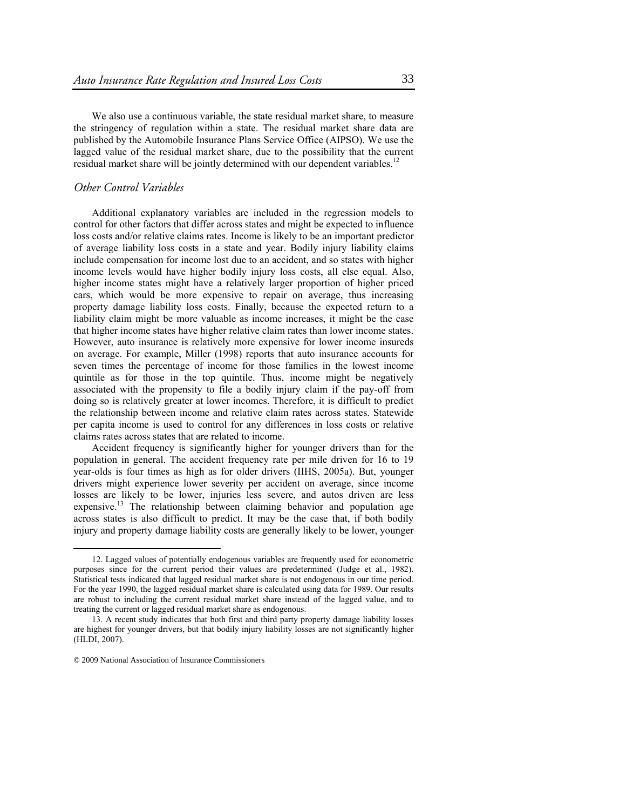We also use a continuous variable, the state residual market share, to measure the stringency of regulation within a state. The residual market share data are published by the Automobile Insurance Plans Service Office (AIPSO). We use the lagged value of the residual market share, due to the possibility that the current residual market share will be jointly determined with our dependent variables.<sup>12</sup>

## *Other Control Variables*

Additional explanatory variables are included in the regression models to control for other factors that differ across states and might be expected to influence loss costs and/or relative claims rates. Income is likely to be an important predictor of average liability loss costs in a state and year. Bodily injury liability claims include compensation for income lost due to an accident, and so states with higher income levels would have higher bodily injury loss costs, all else equal. Also, higher income states might have a relatively larger proportion of higher priced cars, which would be more expensive to repair on average, thus increasing property damage liability loss costs. Finally, because the expected return to a liability claim might be more valuable as income increases, it might be the case that higher income states have higher relative claim rates than lower income states. However, auto insurance is relatively more expensive for lower income insureds on average. For example, Miller (1998) reports that auto insurance accounts for seven times the percentage of income for those families in the lowest income quintile as for those in the top quintile. Thus, income might be negatively associated with the propensity to file a bodily injury claim if the pay-off from doing so is relatively greater at lower incomes. Therefore, it is difficult to predict the relationship between income and relative claim rates across states. Statewide per capita income is used to control for any differences in loss costs or relative claims rates across states that are related to income.

Accident frequency is significantly higher for younger drivers than for the population in general. The accident frequency rate per mile driven for 16 to 19 year-olds is four times as high as for older drivers (IIHS, 2005a). But, younger drivers might experience lower severity per accident on average, since income losses are likely to be lower, injuries less severe, and autos driven are less expensive.<sup>13</sup> The relationship between claiming behavior and population age across states is also difficult to predict. It may be the case that, if both bodily injury and property damage liability costs are generally likely to be lower, younger

 <sup>12.</sup> Lagged values of potentially endogenous variables are frequently used for econometric purposes since for the current period their values are predetermined (Judge et al., 1982). Statistical tests indicated that lagged residual market share is not endogenous in our time period. For the year 1990, the lagged residual market share is calculated using data for 1989. Our results are robust to including the current residual market share instead of the lagged value, and to treating the current or lagged residual market share as endogenous.

<sup>13.</sup> A recent study indicates that both first and third party property damage liability losses are highest for younger drivers, but that bodily injury liability losses are not significantly higher (HLDI, 2007).

<sup>© 2009</sup> National Association of Insurance Commissioners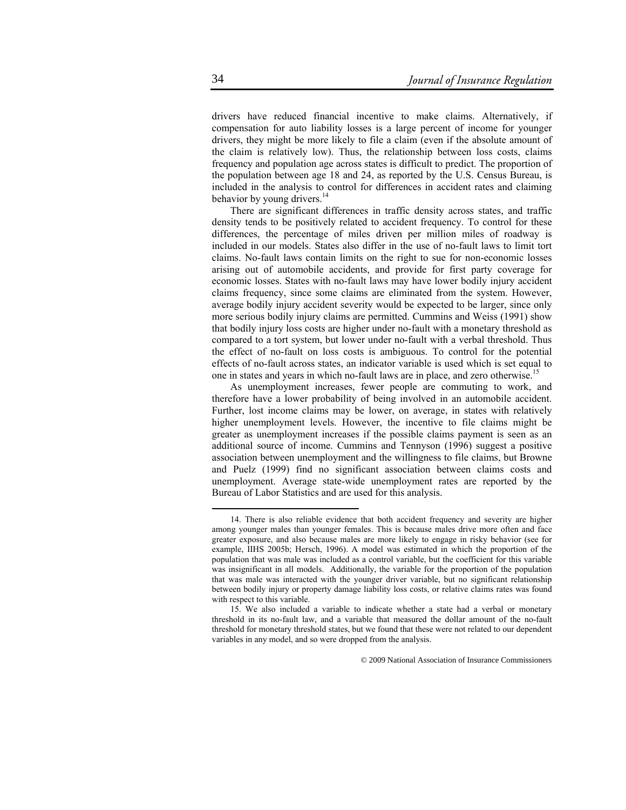drivers have reduced financial incentive to make claims. Alternatively, if compensation for auto liability losses is a large percent of income for younger drivers, they might be more likely to file a claim (even if the absolute amount of the claim is relatively low). Thus, the relationship between loss costs, claims frequency and population age across states is difficult to predict. The proportion of the population between age 18 and 24, as reported by the U.S. Census Bureau, is included in the analysis to control for differences in accident rates and claiming behavior by young drivers.<sup>14</sup>

There are significant differences in traffic density across states, and traffic density tends to be positively related to accident frequency. To control for these differences, the percentage of miles driven per million miles of roadway is included in our models. States also differ in the use of no-fault laws to limit tort claims. No-fault laws contain limits on the right to sue for non-economic losses arising out of automobile accidents, and provide for first party coverage for economic losses. States with no-fault laws may have lower bodily injury accident claims frequency, since some claims are eliminated from the system. However, average bodily injury accident severity would be expected to be larger, since only more serious bodily injury claims are permitted. Cummins and Weiss (1991) show that bodily injury loss costs are higher under no-fault with a monetary threshold as compared to a tort system, but lower under no-fault with a verbal threshold. Thus the effect of no-fault on loss costs is ambiguous. To control for the potential effects of no-fault across states, an indicator variable is used which is set equal to one in states and years in which no-fault laws are in place, and zero otherwise.15

As unemployment increases, fewer people are commuting to work, and therefore have a lower probability of being involved in an automobile accident. Further, lost income claims may be lower, on average, in states with relatively higher unemployment levels. However, the incentive to file claims might be greater as unemployment increases if the possible claims payment is seen as an additional source of income. Cummins and Tennyson (1996) suggest a positive association between unemployment and the willingness to file claims, but Browne and Puelz (1999) find no significant association between claims costs and unemployment. Average state-wide unemployment rates are reported by the Bureau of Labor Statistics and are used for this analysis.

 <sup>14.</sup> There is also reliable evidence that both accident frequency and severity are higher among younger males than younger females. This is because males drive more often and face greater exposure, and also because males are more likely to engage in risky behavior (see for example, IIHS 2005b; Hersch, 1996). A model was estimated in which the proportion of the population that was male was included as a control variable, but the coefficient for this variable was insignificant in all models. Additionally, the variable for the proportion of the population that was male was interacted with the younger driver variable, but no significant relationship between bodily injury or property damage liability loss costs, or relative claims rates was found with respect to this variable.

<sup>15.</sup> We also included a variable to indicate whether a state had a verbal or monetary threshold in its no-fault law, and a variable that measured the dollar amount of the no-fault threshold for monetary threshold states, but we found that these were not related to our dependent variables in any model, and so were dropped from the analysis.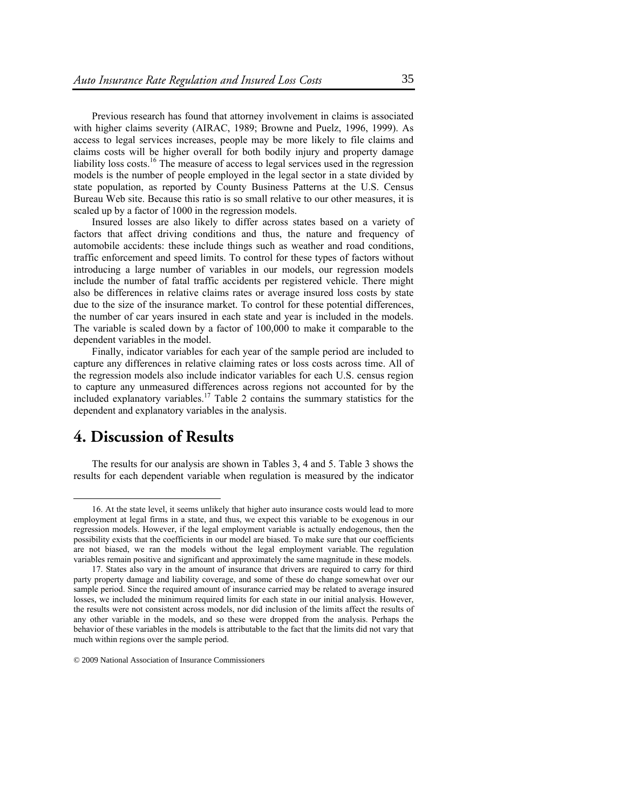Previous research has found that attorney involvement in claims is associated with higher claims severity (AIRAC, 1989; Browne and Puelz, 1996, 1999). As access to legal services increases, people may be more likely to file claims and claims costs will be higher overall for both bodily injury and property damage liability loss costs.<sup>16</sup> The measure of access to legal services used in the regression models is the number of people employed in the legal sector in a state divided by state population, as reported by County Business Patterns at the U.S. Census Bureau Web site. Because this ratio is so small relative to our other measures, it is scaled up by a factor of 1000 in the regression models.

Insured losses are also likely to differ across states based on a variety of factors that affect driving conditions and thus, the nature and frequency of automobile accidents: these include things such as weather and road conditions, traffic enforcement and speed limits. To control for these types of factors without introducing a large number of variables in our models, our regression models include the number of fatal traffic accidents per registered vehicle. There might also be differences in relative claims rates or average insured loss costs by state due to the size of the insurance market. To control for these potential differences, the number of car years insured in each state and year is included in the models. The variable is scaled down by a factor of 100,000 to make it comparable to the dependent variables in the model.

Finally, indicator variables for each year of the sample period are included to capture any differences in relative claiming rates or loss costs across time. All of the regression models also include indicator variables for each U.S. census region to capture any unmeasured differences across regions not accounted for by the included explanatory variables.<sup>17</sup> Table 2 contains the summary statistics for the dependent and explanatory variables in the analysis.

# **4. Discussion of Results**

The results for our analysis are shown in Tables 3, 4 and 5. Table 3 shows the results for each dependent variable when regulation is measured by the indicator

 <sup>16.</sup> At the state level, it seems unlikely that higher auto insurance costs would lead to more employment at legal firms in a state, and thus, we expect this variable to be exogenous in our regression models. However, if the legal employment variable is actually endogenous, then the possibility exists that the coefficients in our model are biased. To make sure that our coefficients are not biased, we ran the models without the legal employment variable. The regulation variables remain positive and significant and approximately the same magnitude in these models.

<sup>17.</sup> States also vary in the amount of insurance that drivers are required to carry for third party property damage and liability coverage, and some of these do change somewhat over our sample period. Since the required amount of insurance carried may be related to average insured losses, we included the minimum required limits for each state in our initial analysis. However, the results were not consistent across models, nor did inclusion of the limits affect the results of any other variable in the models, and so these were dropped from the analysis. Perhaps the behavior of these variables in the models is attributable to the fact that the limits did not vary that much within regions over the sample period.

<sup>© 2009</sup> National Association of Insurance Commissioners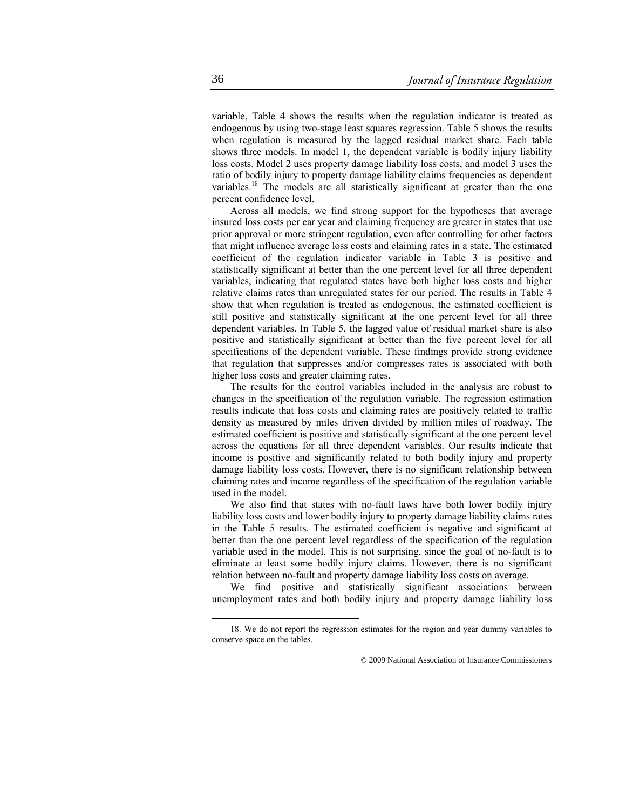variable, Table 4 shows the results when the regulation indicator is treated as endogenous by using two-stage least squares regression. Table 5 shows the results when regulation is measured by the lagged residual market share. Each table shows three models. In model 1, the dependent variable is bodily injury liability loss costs. Model 2 uses property damage liability loss costs, and model 3 uses the ratio of bodily injury to property damage liability claims frequencies as dependent variables.<sup>18</sup> The models are all statistically significant at greater than the one percent confidence level.

Across all models, we find strong support for the hypotheses that average insured loss costs per car year and claiming frequency are greater in states that use prior approval or more stringent regulation, even after controlling for other factors that might influence average loss costs and claiming rates in a state. The estimated coefficient of the regulation indicator variable in Table 3 is positive and statistically significant at better than the one percent level for all three dependent variables, indicating that regulated states have both higher loss costs and higher relative claims rates than unregulated states for our period. The results in Table 4 show that when regulation is treated as endogenous, the estimated coefficient is still positive and statistically significant at the one percent level for all three dependent variables. In Table 5, the lagged value of residual market share is also positive and statistically significant at better than the five percent level for all specifications of the dependent variable. These findings provide strong evidence that regulation that suppresses and/or compresses rates is associated with both higher loss costs and greater claiming rates.

The results for the control variables included in the analysis are robust to changes in the specification of the regulation variable. The regression estimation results indicate that loss costs and claiming rates are positively related to traffic density as measured by miles driven divided by million miles of roadway. The estimated coefficient is positive and statistically significant at the one percent level across the equations for all three dependent variables. Our results indicate that income is positive and significantly related to both bodily injury and property damage liability loss costs. However, there is no significant relationship between claiming rates and income regardless of the specification of the regulation variable used in the model.

We also find that states with no-fault laws have both lower bodily injury liability loss costs and lower bodily injury to property damage liability claims rates in the Table 5 results. The estimated coefficient is negative and significant at better than the one percent level regardless of the specification of the regulation variable used in the model. This is not surprising, since the goal of no-fault is to eliminate at least some bodily injury claims. However, there is no significant relation between no-fault and property damage liability loss costs on average.

We find positive and statistically significant associations between unemployment rates and both bodily injury and property damage liability loss

 <sup>18.</sup> We do not report the regression estimates for the region and year dummy variables to conserve space on the tables.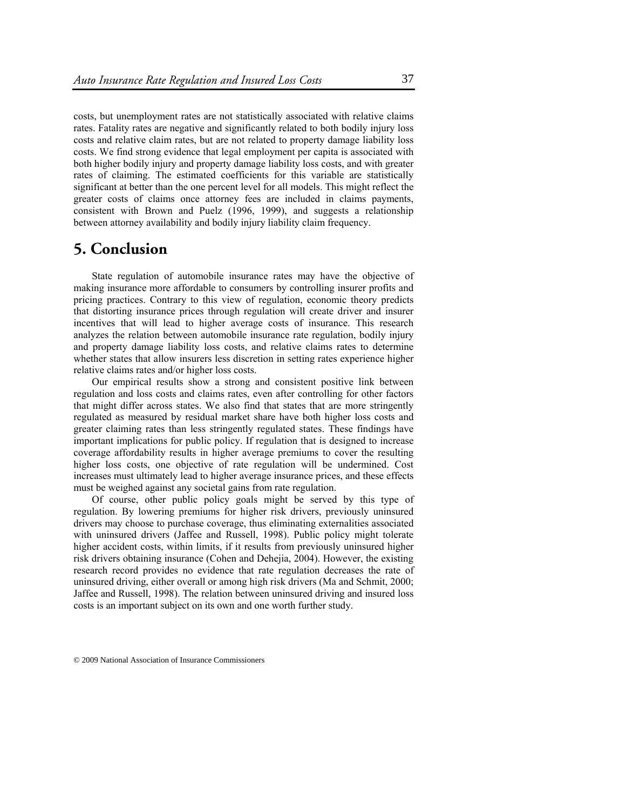costs, but unemployment rates are not statistically associated with relative claims rates. Fatality rates are negative and significantly related to both bodily injury loss costs and relative claim rates, but are not related to property damage liability loss costs. We find strong evidence that legal employment per capita is associated with both higher bodily injury and property damage liability loss costs, and with greater rates of claiming. The estimated coefficients for this variable are statistically significant at better than the one percent level for all models. This might reflect the greater costs of claims once attorney fees are included in claims payments, consistent with Brown and Puelz (1996, 1999), and suggests a relationship between attorney availability and bodily injury liability claim frequency.

# **5. Conclusion**

State regulation of automobile insurance rates may have the objective of making insurance more affordable to consumers by controlling insurer profits and pricing practices. Contrary to this view of regulation, economic theory predicts that distorting insurance prices through regulation will create driver and insurer incentives that will lead to higher average costs of insurance. This research analyzes the relation between automobile insurance rate regulation, bodily injury and property damage liability loss costs, and relative claims rates to determine whether states that allow insurers less discretion in setting rates experience higher relative claims rates and/or higher loss costs.

Our empirical results show a strong and consistent positive link between regulation and loss costs and claims rates, even after controlling for other factors that might differ across states. We also find that states that are more stringently regulated as measured by residual market share have both higher loss costs and greater claiming rates than less stringently regulated states. These findings have important implications for public policy. If regulation that is designed to increase coverage affordability results in higher average premiums to cover the resulting higher loss costs, one objective of rate regulation will be undermined. Cost increases must ultimately lead to higher average insurance prices, and these effects must be weighed against any societal gains from rate regulation.

Of course, other public policy goals might be served by this type of regulation. By lowering premiums for higher risk drivers, previously uninsured drivers may choose to purchase coverage, thus eliminating externalities associated with uninsured drivers (Jaffee and Russell, 1998). Public policy might tolerate higher accident costs, within limits, if it results from previously uninsured higher risk drivers obtaining insurance (Cohen and Dehejia, 2004). However, the existing research record provides no evidence that rate regulation decreases the rate of uninsured driving, either overall or among high risk drivers (Ma and Schmit, 2000; Jaffee and Russell, 1998). The relation between uninsured driving and insured loss costs is an important subject on its own and one worth further study.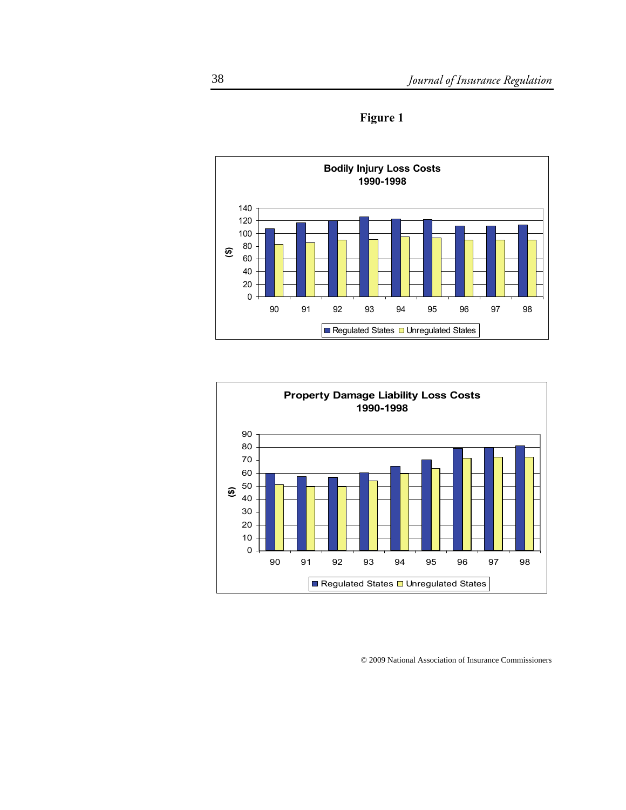

**Figure 1** 

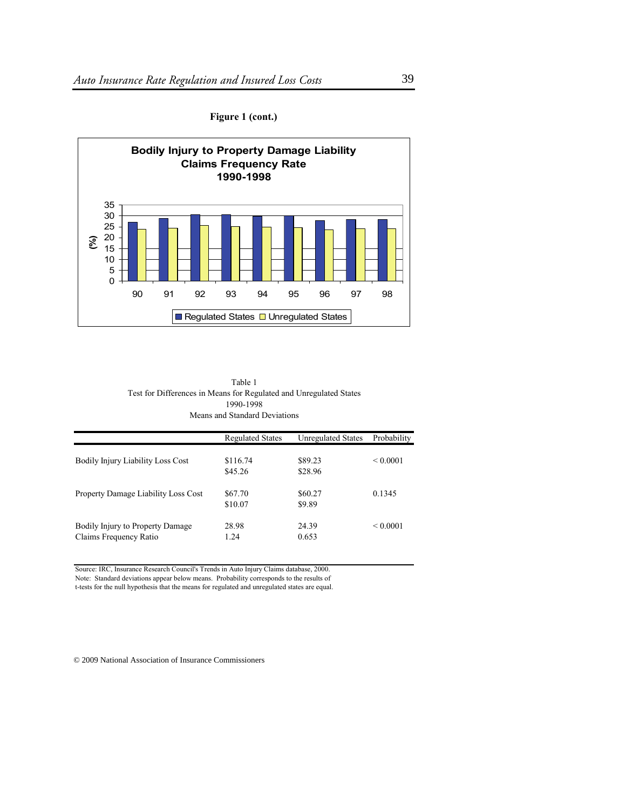

**Figure 1 (cont.)** 

Table 1 Test for Differences in Means for Regulated and Unregulated States 1990-1998 Means and Standard Deviations

|                                                            | <b>Regulated States</b> | <b>Unregulated States</b> | Probability   |
|------------------------------------------------------------|-------------------------|---------------------------|---------------|
| <b>Bodily Injury Liability Loss Cost</b>                   | \$116.74<br>\$45.26     | \$89.23<br>\$28.96        | ${}_{0.0001}$ |
| Property Damage Liability Loss Cost                        | \$67.70<br>\$10.07      | \$60.27<br>\$9.89         | 0.1345        |
| Bodily Injury to Property Damage<br>Claims Frequency Ratio | 28.98<br>1.24           | 24.39<br>0.653            | ${}_{0.0001}$ |

Source: IRC, Insurance Research Council's Trends in Auto Injury Claims database, 2000.

Note: Standard deviations appear below means. Probability corresponds to the results of

t-tests for the null hypothesis that the means for regulated and unregulated states are equal.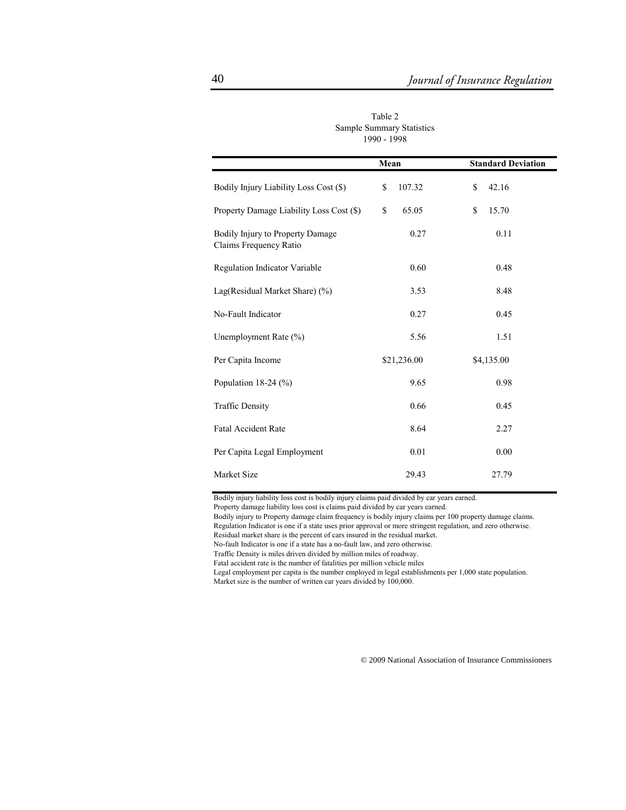|                                                            | Mean         | <b>Standard Deviation</b> |
|------------------------------------------------------------|--------------|---------------------------|
| Bodily Injury Liability Loss Cost (\$)                     | 107.32<br>\$ | 42.16<br>\$               |
| Property Damage Liability Loss Cost (\$)                   | \$<br>65.05  | \$<br>15.70               |
| Bodily Injury to Property Damage<br>Claims Frequency Ratio | 0.27         | 0.11                      |
| Regulation Indicator Variable                              | 0.60         | 0.48                      |
| Lag(Residual Market Share) (%)                             | 3.53         | 8.48                      |
| No-Fault Indicator                                         | 0.27         | 0.45                      |
| Unemployment Rate (%)                                      | 5.56         | 1.51                      |
| Per Capita Income                                          | \$21,236.00  | \$4,135.00                |
| Population 18-24 $(\%)$                                    | 9.65         | 0.98                      |
| <b>Traffic Density</b>                                     | 0.66         | 0.45                      |
| <b>Fatal Accident Rate</b>                                 | 8.64         | 2.27                      |
| Per Capita Legal Employment                                | 0.01         | 0.00                      |
| Market Size                                                | 29.43        | 27.79                     |

Table 2 Sample Summary Statistics 1990 - 1998

Bodily injury liability loss cost is bodily injury claims paid divided by car years earned.

Property damage liability loss cost is claims paid divided by car years earned.

Bodily injury to Property damage claim frequency is bodily injury claims per 100 property damage claims. Regulation Indicator is one if a state uses prior approval or more stringent regulation, and zero otherwise.

Residual market share is the percent of cars insured in the residual market.

No-fault Indicator is one if a state has a no-fault law, and zero otherwise. Traffic Density is miles driven divided by million miles of roadway.

Fatal accident rate is the number of fatalities per million vehicle miles

Legal employment per capita is the number employed in legal establishments per 1,000 state population. Market size is the number of written car years divided by 100,000.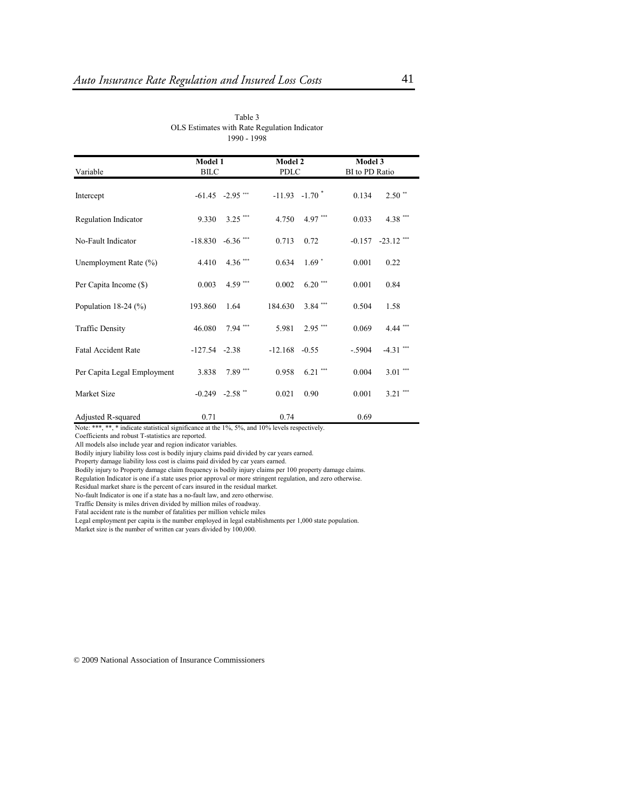| Variable                    | Model 1<br><b>BILC</b> |                      | <b>Model 2</b><br>PDLC |                             | Model 3<br>BI to PD Ratio |                     |
|-----------------------------|------------------------|----------------------|------------------------|-----------------------------|---------------------------|---------------------|
| Intercept                   |                        | $-61.45 -2.95$ ***   |                        | $-11.93 -1.70$ <sup>*</sup> | 0.134                     | $2.50$ **           |
| <b>Regulation Indicator</b> | 9.330                  | $3.25$ ***           | 4.750                  | $4.97***$                   | 0.033                     | 4.38 ***            |
| No-Fault Indicator          |                        | $-18.830 - 6.36$ *** | 0.713                  | 0.72                        |                           | $-0.157 -23.12$ *** |
| Unemployment Rate (%)       | 4.410                  | $4.36$ ***           | 0.634                  | $1.69*$                     | 0.001                     | 0.22                |
| Per Capita Income (\$)      | 0.003                  | 4.59 ***             | 0.002                  | $6.20$ ***                  | 0.001                     | 0.84                |
| Population 18-24 $(\%)$     | 193.860                | 1.64                 | 184.630                | $3.84$ ***                  | 0.504                     | 1.58                |
| <b>Traffic Density</b>      | 46.080                 | $7.94$ ***           | 5.981                  | $2.95$ ***                  | 0.069                     | $4.44$ ***          |
| <b>Fatal Accident Rate</b>  | $-127.54 -2.38$        |                      | $-12.168 - 0.55$       |                             | $-.5904$                  | $-4.31$ ***         |
| Per Capita Legal Employment | 3.838                  | $7.89***$            | 0.958                  | $6.21$ ***                  | 0.004                     | $3.01***$           |
| Market Size                 |                        | $-0.249 -2.58$ **    | 0.021                  | 0.90                        | 0.001                     | $3.21$ ***          |
| Adjusted R-squared          | 0.71                   |                      | 0.74                   |                             | 0.69                      |                     |

Table 3 OLS Estimates with Rate Regulation Indicator 1990 - 1998

Note: \*\*\*, \*\*, \* indicate statistical significance at the 1%, 5%, and 10% levels respectively.

Coefficients and robust T-statistics are reported.

All models also include year and region indicator variables.

Bodily injury liability loss cost is bodily injury claims paid divided by car years earned.

Property damage liability loss cost is claims paid divided by car years earned.

Bodily injury to Property damage claim frequency is bodily injury claims per 100 property damage claims.

Regulation Indicator is one if a state uses prior approval or more stringent regulation, and zero otherwise.

Residual market share is the percent of cars insured in the residual market.

No-fault Indicator is one if a state has a no-fault law, and zero otherwise.

Traffic Density is miles driven divided by million miles of roadway.

Fatal accident rate is the number of fatalities per million vehicle miles

Legal employment per capita is the number employed in legal establishments per 1,000 state population.

Market size is the number of written car years divided by 100,000.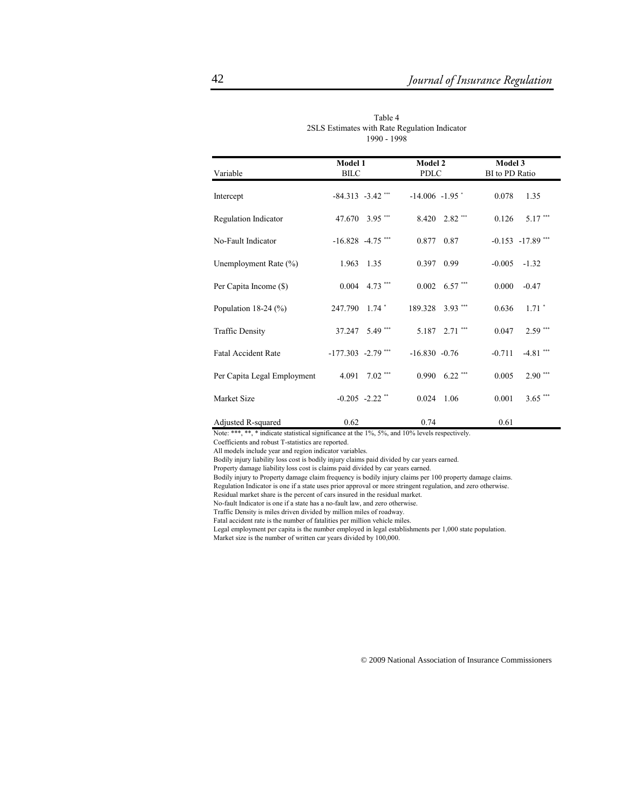| Variable                    | Model 1<br><b>BILC</b> |                             | <b>Model 2</b><br>PDLC |                    | Model 3<br>BI to PD Ratio |                      |
|-----------------------------|------------------------|-----------------------------|------------------------|--------------------|---------------------------|----------------------|
| Intercept                   | $-84.313 - 3.42$ ***   |                             | $-14.006 - 1.95$       |                    | 0.078                     | 1.35                 |
| Regulation Indicator        |                        | 47.670 3.95***              | 8.420                  | 2.82***            | 0.126                     | 5.17***              |
| No-Fault Indicator          | $-16.828 - 4.75$ ***   |                             | 0.877                  | 0.87               |                           | $-0.153 - 17.89$ *** |
| Unemployment Rate (%)       | 1.963 1.35             |                             | 0.397                  | 0.99               | $-0.005$                  | $-1.32$              |
| Per Capita Income (\$)      |                        | $0.004$ 4.73 <sup>***</sup> |                        | $0.002$ 6.57***    | 0.000                     | $-0.47$              |
| Population $18-24$ (%)      | 247.790                | $1.74$ $*$                  | 189.328 3.93 ***       |                    | 0.636                     | $1.71$ <sup>*</sup>  |
| <b>Traffic Density</b>      |                        | 37.247 5.49 ***             |                        | 5.187 2.71 ***     | 0.047                     | $2.59***$            |
| <b>Fatal Accident Rate</b>  | $-177.303 -2.79$ ***   |                             | $-16.830 - 0.76$       |                    | $-0.711$                  | $-4.81$ ***          |
| Per Capita Legal Employment | 4.091                  | $7.02$ ***                  |                        | $0.990$ $6.22$ *** | 0.005                     | $2.90***$            |
| Market Size                 |                        | $-0.205 -2.22$ **           | 0.024                  | 1.06               | 0.001                     | $3.65***$            |
| Adjusted R-squared          | 0.62                   |                             | 0.74                   |                    | 0.61                      |                      |

Table 4 2SLS Estimates with Rate Regulation Indicator 1990 - 1998

Note: \*\*\*, \*\*, \* indicate statistical significance at the 1%, 5%, and 10% levels respectively.

Coefficients and robust T-statistics are reported.

All models include year and region indicator variables.

Bodily injury liability loss cost is bodily injury claims paid divided by car years earned.

Property damage liability loss cost is claims paid divided by car years earned.

Bodily injury to Property damage claim frequency is bodily injury claims per 100 property damage claims.

Regulation Indicator is one if a state uses prior approval or more stringent regulation, and zero otherwise.

Residual market share is the percent of cars insured in the residual market.

No-fault Indicator is one if a state has a no-fault law, and zero otherwise.

Traffic Density is miles driven divided by million miles of roadway.

Fatal accident rate is the number of fatalities per million vehicle miles.

Legal employment per capita is the number employed in legal establishments per 1,000 state population.

Market size is the number of written car years divided by 100,000.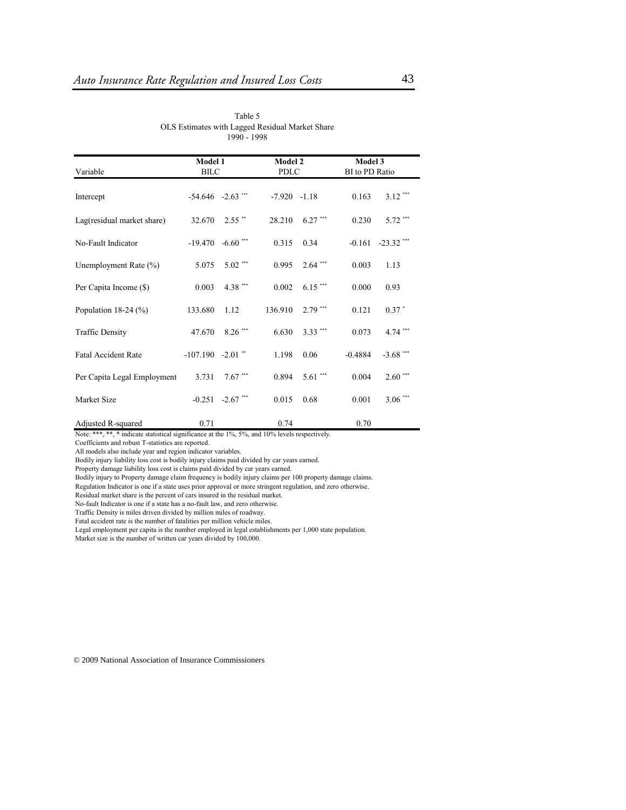| Variable                    | Model 1<br><b>BILC</b> |                       | Model 2<br><b>PDLC</b> |            | Model 3<br>BI to PD Ratio |              |
|-----------------------------|------------------------|-----------------------|------------------------|------------|---------------------------|--------------|
| Intercept                   |                        | $-54.646$ $-2.63$ *** | $-7.920 -1.18$         |            | 0.163                     | $3.12$ ***   |
| Lag(residual market share)  | 32.670                 | $2.55$ **             | 28.210                 | $6.27$ *** | 0.230                     | 5.72 ***     |
| No-Fault Indicator          | $-19.470$              | $-6.60$ ***           | 0.315                  | 0.34       | $-0.161$                  | $-23.32$ *** |
| Unemployment Rate (%)       | 5.075                  | $5.02$ ***            | 0.995                  | $2.64$ *** | 0.003                     | 1.13         |
| Per Capita Income (\$)      | 0.003                  | 4.38 ***              | 0.002                  | $6.15***$  | 0.000                     | 0.93         |
| Population $18-24$ (%)      | 133.680                | 1.12                  | 136.910                | $2.79$ *** | 0.121                     | $0.37$ $*$   |
| <b>Traffic Density</b>      | 47.670                 | $8.26$ ***            | 6.630                  | $3.33$ *** | 0.073                     | $4.74$ ***   |
| <b>Fatal Accident Rate</b>  | $-107.190 - 2.01$ **   |                       | 1.198                  | 0.06       | $-0.4884$                 | $-3.68$ ***  |
| Per Capita Legal Employment | 3.731                  | $7.67***$             | 0.894                  | $5.61$ *** | 0.004                     | $2.60***$    |
| Market Size                 |                        | $-0.251 -2.67$ ***    | 0.015                  | 0.68       | 0.001                     | $3.06***$    |
|                             |                        |                       |                        |            |                           |              |

Table 5 OLS Estimates with Lagged Residual Market Share 1990 - 1998

Adjusted R-squared  $0.71$  0.74  $0.70$ Note: \*\*\*, \*\*, \* indicate statistical significance at the 1%, 5%, and 10% levels respectively.

Coefficients and robust T-statistics are reported.

All models also include year and region indicator variables.

Bodily injury liability loss cost is bodily injury claims paid divided by car years earned.

Property damage liability loss cost is claims paid divided by car years earned.

Bodily injury to Property damage claim frequency is bodily injury claims per 100 property damage claims.

Regulation Indicator is one if a state uses prior approval or more stringent regulation, and zero otherwise.

Residual market share is the percent of cars insured in the residual market.

No-fault Indicator is one if a state has a no-fault law, and zero otherwise.

Traffic Density is miles driven divided by million miles of roadway.

Fatal accident rate is the number of fatalities per million vehicle miles.

Legal employment per capita is the number employed in legal establishments per 1,000 state population.

Market size is the number of written car years divided by 100,000.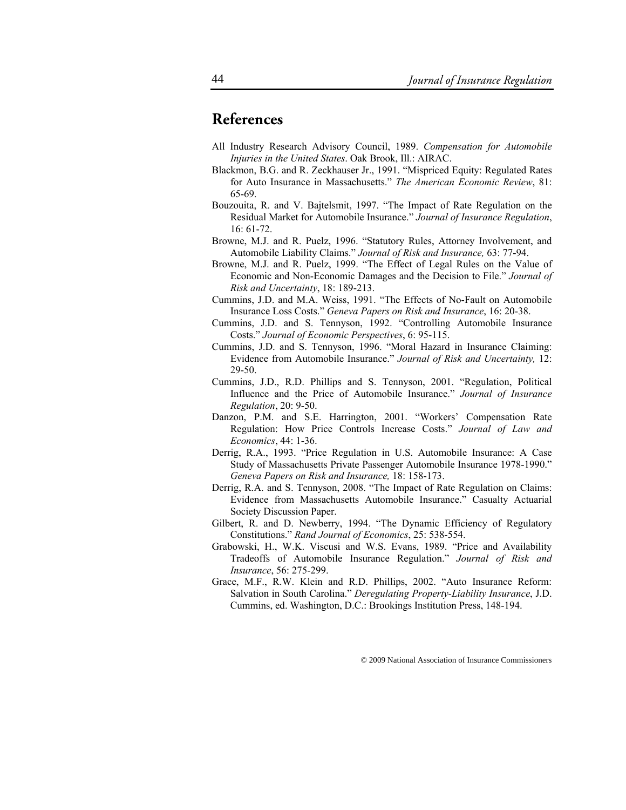# **References**

- All Industry Research Advisory Council, 1989. *Compensation for Automobile Injuries in the United States*. Oak Brook, Ill.: AIRAC.
- Blackmon, B.G. and R. Zeckhauser Jr., 1991. "Mispriced Equity: Regulated Rates for Auto Insurance in Massachusetts." *The American Economic Review*, 81: 65-69.
- Bouzouita, R. and V. Bajtelsmit, 1997. "The Impact of Rate Regulation on the Residual Market for Automobile Insurance." *Journal of Insurance Regulation*, 16: 61-72.
- Browne, M.J. and R. Puelz, 1996. "Statutory Rules, Attorney Involvement, and Automobile Liability Claims." *Journal of Risk and Insurance,* 63: 77-94.
- Browne, M.J. and R. Puelz, 1999. "The Effect of Legal Rules on the Value of Economic and Non-Economic Damages and the Decision to File." *Journal of Risk and Uncertainty*, 18: 189-213.
- Cummins, J.D. and M.A. Weiss, 1991. "The Effects of No-Fault on Automobile Insurance Loss Costs." *Geneva Papers on Risk and Insurance*, 16: 20-38.
- Cummins, J.D. and S. Tennyson, 1992. "Controlling Automobile Insurance Costs." *Journal of Economic Perspectives*, 6: 95-115.
- Cummins, J.D. and S. Tennyson, 1996. "Moral Hazard in Insurance Claiming: Evidence from Automobile Insurance." *Journal of Risk and Uncertainty,* 12: 29-50.
- Cummins, J.D., R.D. Phillips and S. Tennyson, 2001. "Regulation, Political Influence and the Price of Automobile Insurance." *Journal of Insurance Regulation*, 20: 9-50.
- Danzon, P.M. and S.E. Harrington, 2001. "Workers' Compensation Rate Regulation: How Price Controls Increase Costs." *Journal of Law and Economics*, 44: 1-36.
- Derrig, R.A., 1993. "Price Regulation in U.S. Automobile Insurance: A Case Study of Massachusetts Private Passenger Automobile Insurance 1978-1990." *Geneva Papers on Risk and Insurance,* 18: 158-173.
- Derrig, R.A. and S. Tennyson, 2008. "The Impact of Rate Regulation on Claims: Evidence from Massachusetts Automobile Insurance." Casualty Actuarial Society Discussion Paper.
- Gilbert, R. and D. Newberry, 1994. "The Dynamic Efficiency of Regulatory Constitutions." *Rand Journal of Economics*, 25: 538-554.
- Grabowski, H., W.K. Viscusi and W.S. Evans, 1989. "Price and Availability Tradeoffs of Automobile Insurance Regulation." *Journal of Risk and Insurance*, 56: 275-299.
- Grace, M.F., R.W. Klein and R.D. Phillips, 2002. "Auto Insurance Reform: Salvation in South Carolina." *Deregulating Property-Liability Insurance*, J.D. Cummins, ed. Washington, D.C.: Brookings Institution Press, 148-194.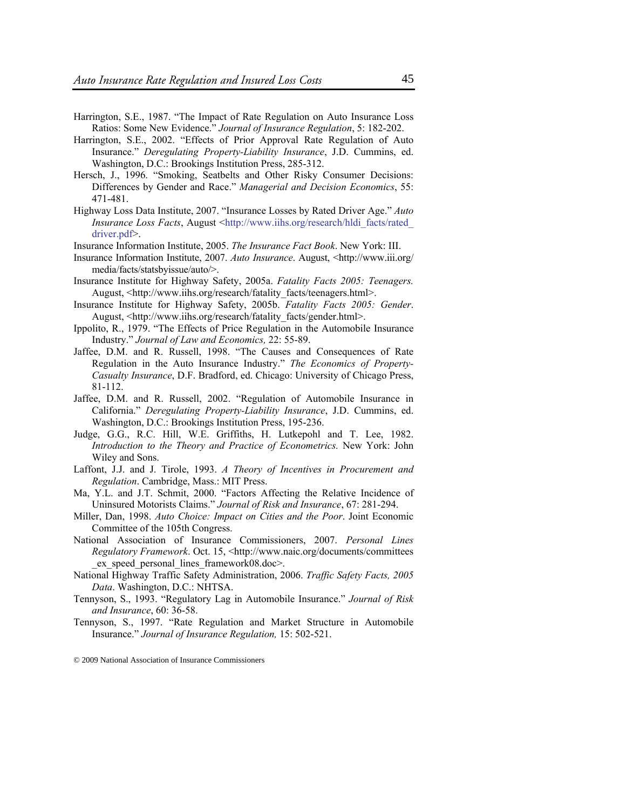- Harrington, S.E., 1987. "The Impact of Rate Regulation on Auto Insurance Loss Ratios: Some New Evidence." *Journal of Insurance Regulation*, 5: 182-202.
- Harrington, S.E., 2002. "Effects of Prior Approval Rate Regulation of Auto Insurance." *Deregulating Property-Liability Insurance*, J.D. Cummins, ed. Washington, D.C.: Brookings Institution Press, 285-312.
- Hersch, J., 1996. "Smoking, Seatbelts and Other Risky Consumer Decisions: Differences by Gender and Race." *Managerial and Decision Economics*, 55: 471-481.
- Highway Loss Data Institute, 2007. "Insurance Losses by Rated Driver Age." *Auto Insurance Loss Facts*, August <http://www.iihs.org/research/hldi\_facts/rated driver.pdf>.

Insurance Information Institute, 2005. *The Insurance Fact Book*. New York: III.

- Insurance Information Institute, 2007. *Auto Insurance*. August, <http://www.iii.org/ media/facts/statsbyissue/auto/>.
- Insurance Institute for Highway Safety, 2005a. *Fatality Facts 2005: Teenagers.* August, <http://www.iihs.org/research/fatality\_facts/teenagers.html>.
- Insurance Institute for Highway Safety, 2005b. *Fatality Facts 2005: Gender*. August, <http://www.iihs.org/research/fatality\_facts/gender.html>.
- Ippolito, R., 1979. "The Effects of Price Regulation in the Automobile Insurance Industry." *Journal of Law and Economics,* 22: 55-89.
- Jaffee, D.M. and R. Russell, 1998. "The Causes and Consequences of Rate Regulation in the Auto Insurance Industry." *The Economics of Property-Casualty Insurance*, D.F. Bradford, ed. Chicago: University of Chicago Press, 81-112.
- Jaffee, D.M. and R. Russell, 2002. "Regulation of Automobile Insurance in California." *Deregulating Property-Liability Insurance*, J.D. Cummins, ed. Washington, D.C.: Brookings Institution Press, 195-236.
- Judge, G.G., R.C. Hill, W.E. Griffiths, H. Lutkepohl and T. Lee, 1982. *Introduction to the Theory and Practice of Econometrics.* New York: John Wiley and Sons.
- Laffont, J.J. and J. Tirole, 1993. *A Theory of Incentives in Procurement and Regulation*. Cambridge, Mass.: MIT Press.
- Ma, Y.L. and J.T. Schmit, 2000. "Factors Affecting the Relative Incidence of Uninsured Motorists Claims." *Journal of Risk and Insurance*, 67: 281-294.
- Miller, Dan, 1998. *Auto Choice: Impact on Cities and the Poor*. Joint Economic Committee of the 105th Congress.
- National Association of Insurance Commissioners, 2007. *Personal Lines Regulatory Framework*. Oct. 15, <http://www.naic.org/documents/committees ex speed personal lines framework08.doc>.
- National Highway Traffic Safety Administration, 2006. *Traffic Safety Facts, 2005 Data*. Washington, D.C.: NHTSA.
- Tennyson, S., 1993. "Regulatory Lag in Automobile Insurance." *Journal of Risk and Insurance*, 60: 36-58.
- Tennyson, S., 1997. "Rate Regulation and Market Structure in Automobile Insurance." *Journal of Insurance Regulation,* 15: 502-521.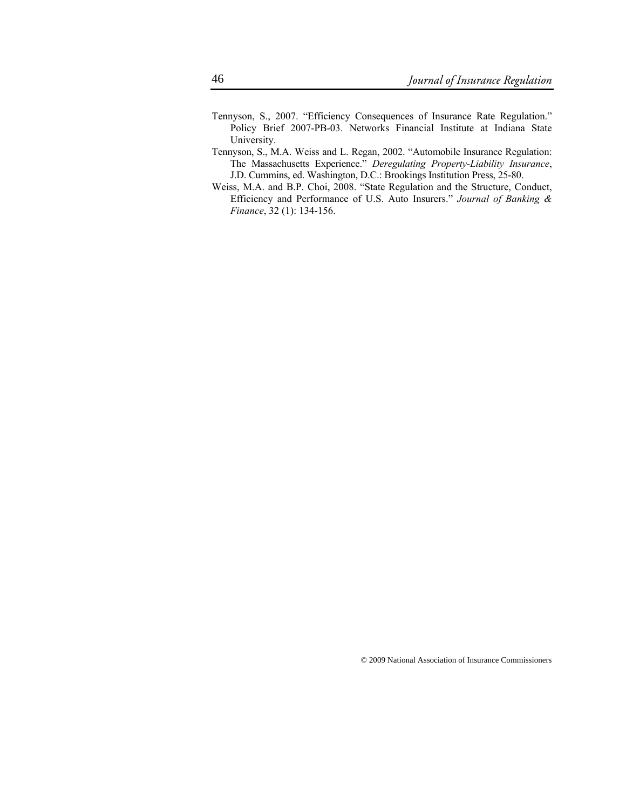- Tennyson, S., 2007. "Efficiency Consequences of Insurance Rate Regulation." Policy Brief 2007-PB-03. Networks Financial Institute at Indiana State University.
- Tennyson, S., M.A. Weiss and L. Regan, 2002. "Automobile Insurance Regulation: The Massachusetts Experience." *Deregulating Property-Liability Insurance*, J.D. Cummins, ed. Washington, D.C.: Brookings Institution Press, 25-80.
- Weiss, M.A. and B.P. Choi, 2008. "State Regulation and the Structure, Conduct, Efficiency and Performance of U.S. Auto Insurers." *Journal of Banking & Finance*, 32 (1): 134-156.